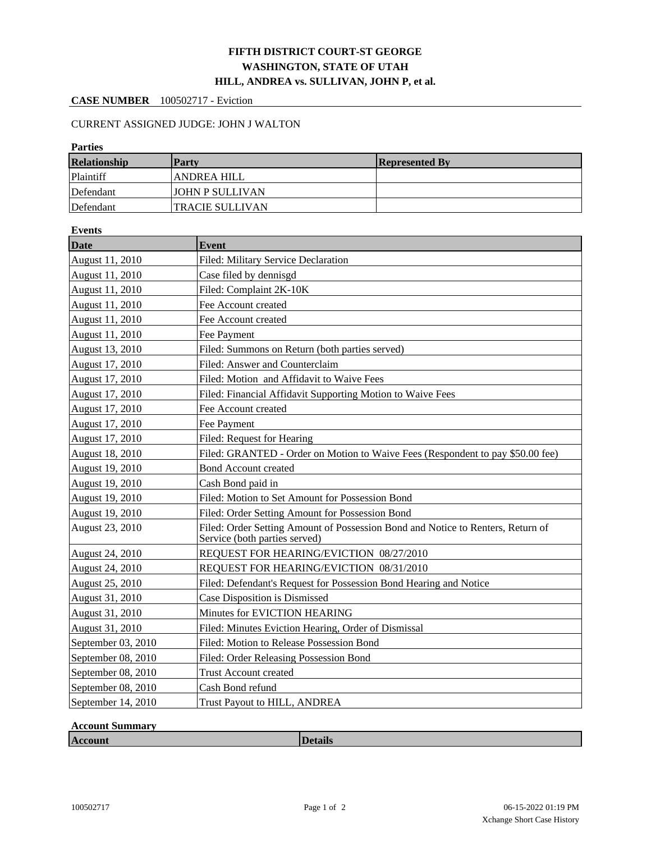## **FIFTH DISTRICT COURT-ST GEORGE WASHINGTON, STATE OF UTAH HILL, ANDREA vs. SULLIVAN, JOHN P, et al.**

## **CASE NUMBER** 100502717 - Eviction

## CURRENT ASSIGNED JUDGE: JOHN J WALTON

| <b>Parties</b>     |                                                     |                                                                                 |  |  |  |  |
|--------------------|-----------------------------------------------------|---------------------------------------------------------------------------------|--|--|--|--|
| Relationship       | <b>Party</b>                                        | <b>Represented By</b>                                                           |  |  |  |  |
| Plaintiff          | <b>ANDREA HILL</b>                                  |                                                                                 |  |  |  |  |
| Defendant          | <b>JOHN P SULLIVAN</b>                              |                                                                                 |  |  |  |  |
| Defendant          | <b>TRACIE SULLIVAN</b>                              |                                                                                 |  |  |  |  |
| <b>Events</b>      |                                                     |                                                                                 |  |  |  |  |
| <b>Date</b>        | <b>Event</b>                                        |                                                                                 |  |  |  |  |
| August 11, 2010    | Filed: Military Service Declaration                 |                                                                                 |  |  |  |  |
| August 11, 2010    | Case filed by dennisgd                              |                                                                                 |  |  |  |  |
| August 11, 2010    | Filed: Complaint 2K-10K                             |                                                                                 |  |  |  |  |
| August 11, 2010    | Fee Account created                                 |                                                                                 |  |  |  |  |
| August 11, 2010    | Fee Account created                                 |                                                                                 |  |  |  |  |
| August 11, 2010    | Fee Payment                                         |                                                                                 |  |  |  |  |
| August 13, 2010    | Filed: Summons on Return (both parties served)      |                                                                                 |  |  |  |  |
| August 17, 2010    | Filed: Answer and Counterclaim                      |                                                                                 |  |  |  |  |
| August 17, 2010    | Filed: Motion and Affidavit to Waive Fees           |                                                                                 |  |  |  |  |
| August 17, 2010    |                                                     | Filed: Financial Affidavit Supporting Motion to Waive Fees                      |  |  |  |  |
| August 17, 2010    | Fee Account created                                 |                                                                                 |  |  |  |  |
| August 17, 2010    | Fee Payment                                         |                                                                                 |  |  |  |  |
| August 17, 2010    | Filed: Request for Hearing                          |                                                                                 |  |  |  |  |
| August 18, 2010    |                                                     | Filed: GRANTED - Order on Motion to Waive Fees (Respondent to pay \$50.00 fee)  |  |  |  |  |
| August 19, 2010    | <b>Bond Account created</b>                         |                                                                                 |  |  |  |  |
| August 19, 2010    | Cash Bond paid in                                   |                                                                                 |  |  |  |  |
| August 19, 2010    | Filed: Motion to Set Amount for Possession Bond     |                                                                                 |  |  |  |  |
| August 19, 2010    | Filed: Order Setting Amount for Possession Bond     |                                                                                 |  |  |  |  |
| August 23, 2010    | Service (both parties served)                       | Filed: Order Setting Amount of Possession Bond and Notice to Renters, Return of |  |  |  |  |
| August 24, 2010    | REQUEST FOR HEARING/EVICTION 08/27/2010             |                                                                                 |  |  |  |  |
| August 24, 2010    | REQUEST FOR HEARING/EVICTION 08/31/2010             |                                                                                 |  |  |  |  |
| August 25, 2010    |                                                     | Filed: Defendant's Request for Possession Bond Hearing and Notice               |  |  |  |  |
| August 31, 2010    |                                                     | Case Disposition is Dismissed                                                   |  |  |  |  |
| August 31, 2010    | Minutes for EVICTION HEARING                        |                                                                                 |  |  |  |  |
| August 31, 2010    | Filed: Minutes Eviction Hearing, Order of Dismissal |                                                                                 |  |  |  |  |
| September 03, 2010 | Filed: Motion to Release Possession Bond            |                                                                                 |  |  |  |  |
| September 08, 2010 | Filed: Order Releasing Possession Bond              |                                                                                 |  |  |  |  |
| September 08, 2010 | <b>Trust Account created</b>                        |                                                                                 |  |  |  |  |
| September 08, 2010 | Cash Bond refund                                    |                                                                                 |  |  |  |  |
| September 14, 2010 | Trust Payout to HILL, ANDREA                        |                                                                                 |  |  |  |  |

## **Account Summary**

**Account Details**